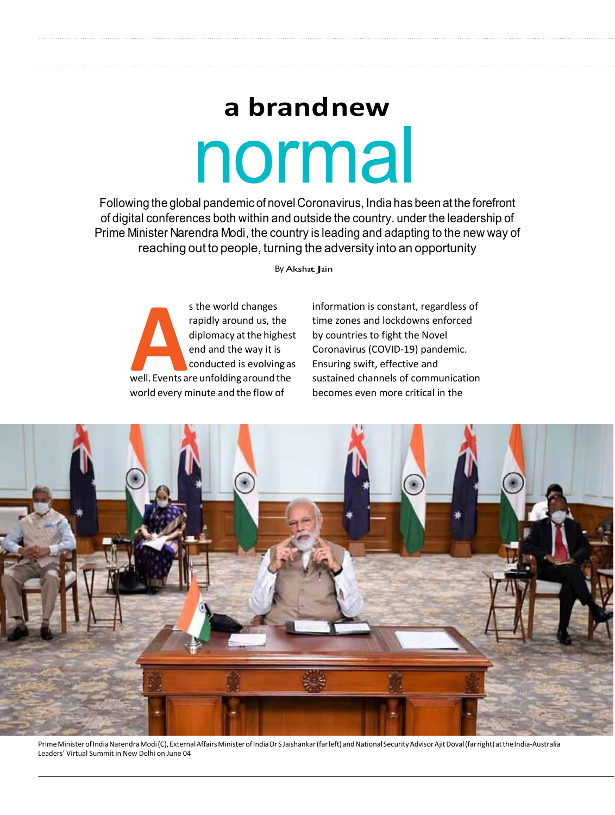## normal **a brand new**

Following the global pandemic of novel Coronavirus, India has been at the forefront of digital conferences both within and outside the country. under the leadership of Prime Minister Narendra Modi, the country is leading and adapting to the new way of reaching out to people, turning the adversity into an opportunity

By Akshat Jain

s the world changes<br>rapidly around us, the<br>diplomacy at the highes<br>end and the way it is<br>conducted is evolving as<br>well. Events are unfolding around the s the world changes rapidly around us, the diplomacy at the highest end and the way it is conducted is evolving as world every minute and the flow of

information is constant, regardless of time zones and lockdowns enforced by countries to fight the Novel Coronavirus (COVID-19) pandemic. Ensuring swift, effective and sustained channels of communication becomes even more critical in the



Prime Minister of India Narendra Modi (C), External Affairs Minister of India Dr S Jaishankar (far left) and National Security Advisor Ajit Doval (far right) atthe India-Australia Leaders' Virtual Summit in New Delhi on June 04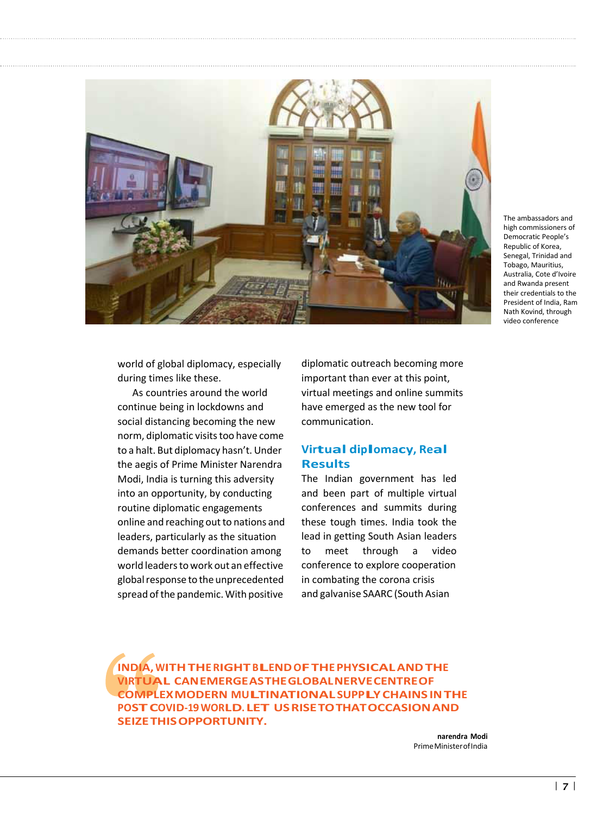

The ambassadors and high commissioners of Democratic People's Republic of Korea, Senegal, Trinidad and Tobago, Mauritius, Australia, Cote d'Ivoire and Rwanda present their credentials to the President of India, Ram Nath Kovind, through video conference

world of global diplomacy, especially during times like these.

As countries around the world continue being in lockdowns and social distancing becoming the new norm, diplomatic visits too have come to a halt. But diplomacy hasn't. Under the aegis of Prime Minister Narendra Modi, India is turning this adversity into an opportunity, by conducting routine diplomatic engagements online and reaching out to nations and leaders, particularly as the situation demands better coordination among world leaders to work out an effective global response to the unprecedented spread of the pandemic. With positive

diplomatic outreach becoming more important than ever at this point, virtual meetings and online summits have emerged as the new tool for communication.

## **Virtual diplomacy, Real Results**

The Indian government has led and been part of multiple virtual conferences and summits during these tough times. India took the lead in getting South Asian leaders to meet through a video conference to explore cooperation in combating the corona crisis and galvanise SAARC (South Asian

**INDIA,WITHTHERIGHTBLEND OFTHEPHYSICALANDTHE VIRTUAL CAN EMERGE AS THE GLOBAL NERVE CENTRE OF COMPLEX MODERN MULTINATIONALSUPPLYCHAINSINTHE POSTCOVID-19WORLD. LET US RISE TO THAT OCCASION AND SEIZE THIS OPPORTUNITY.**

> **narendra Modi** Prime Minister of India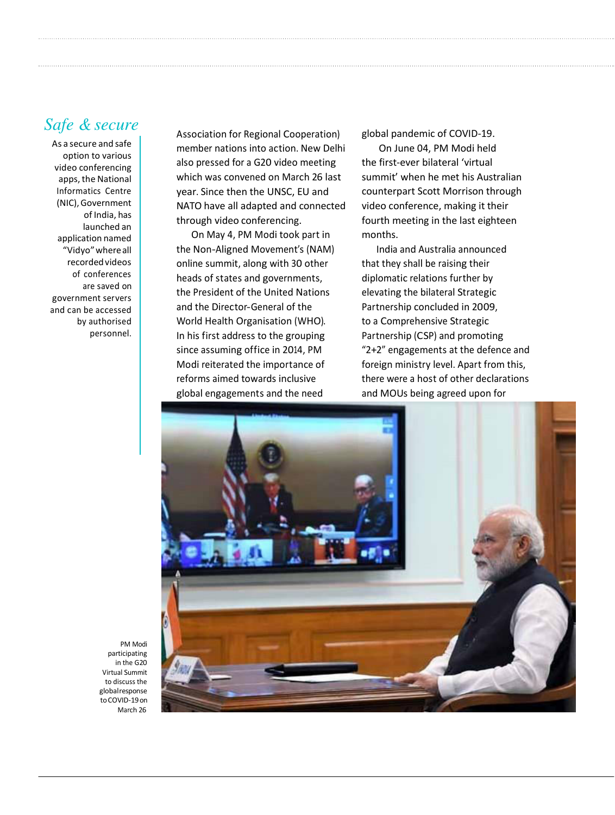## *Safe & secure*

As a secure and safe option to various video conferencing apps, the National Informatics Centre (NIC), Government of India, has launched an application named "Vidyo" where all recorded videos of conferences are saved on government servers and can be accessed by authorised personnel.

Association for Regional Cooperation) member nations into action. New Delhi also pressed for a G20 video meeting which was convened on March 26 last year. Since then the UNSC, EU and NATO have all adapted and connected through video conferencing.

On May 4, PM Modi took part in the Non-Aligned Movement's (NAM) online summit, along with 30 other heads of states and governments, the President of the United Nations and the Director-General of the World Health Organisation (WHO). In his first address to the grouping since assuming office in 2014, PM Modi reiterated the importance of reforms aimed towards inclusive global engagements and the need

global pandemic of COVID-19.

On June 04, PM Modi held the first-ever bilateral 'virtual summit' when he met his Australian counterpart Scott Morrison through video conference, making it their fourth meeting in the last eighteen months.

India and Australia announced that they shall be raising their diplomatic relations further by elevating the bilateral Strategic Partnership concluded in 2009, to a Comprehensive Strategic Partnership (CSP) and promoting "2+2" engagements at the defence and foreign ministry level. Apart from this, there were a host of other declarations and MOUs being agreed upon for



PM Modi participating in the G20 Virtual Summit to discuss the global response to COVID-19on March 26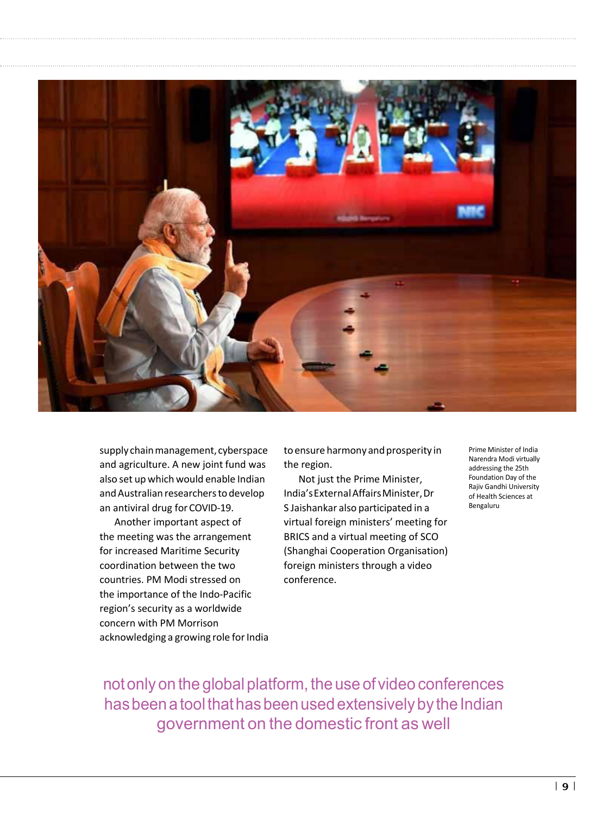

supply chain management, cyberspace and agriculture. A new joint fund was also set up which would enable Indian and Australian researchers to develop an antiviral drug for COVID-19.

Another important aspect of the meeting was the arrangement for increased Maritime Security coordination between the two countries. PM Modi stressed on the importance of the Indo-Pacific region's security as a worldwide concern with PM Morrison acknowledging a growing role for India to ensure harmony and prosperity in the region.

Not just the Prime Minister, India's External Affairs Minister, Dr S Jaishankar also participated in a virtual foreign ministers' meeting for BRICS and a virtual meeting of SCO (Shanghai Cooperation Organisation) foreign ministers through a video conference.

Prime Minister of India Narendra Modi virtually addressing the 25th Foundation Day of the Rajiv Gandhi University of Health Sciences at Bengaluru

not only on the global platform, the use of video conferences has been a tool that has been used extensively by the Indian government on the domestic front as well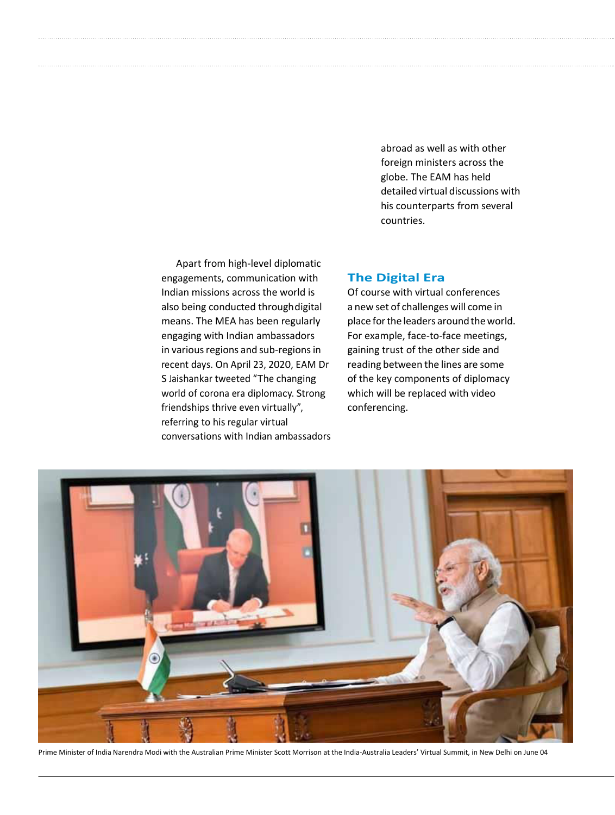abroad as well as with other foreign ministers across the globe. The EAM has held detailed virtual discussions with his counterparts from several countries.

Apart from high-level diplomatic engagements, communication with Indian missions across the world is also being conducted through digital means. The MEA has been regularly engaging with Indian ambassadors in various regions and sub-regions in recent days. On April 23, 2020, EAM Dr S Jaishankar tweeted "The changing world of corona era diplomacy. Strong friendships thrive even virtually", referring to his regular virtual conversations with Indian ambassadors

## **The Digital Era**

Of course with virtual conferences a new set of challenges will come in place for the leaders around the world. For example, face-to-face meetings, gaining trust of the other side and reading between the lines are some of the key components of diplomacy which will be replaced with video conferencing.



Prime Minister of India Narendra Modi with the Australian Prime Minister Scott Morrison at the India-Australia Leaders' Virtual Summit, in New Delhi on June 04